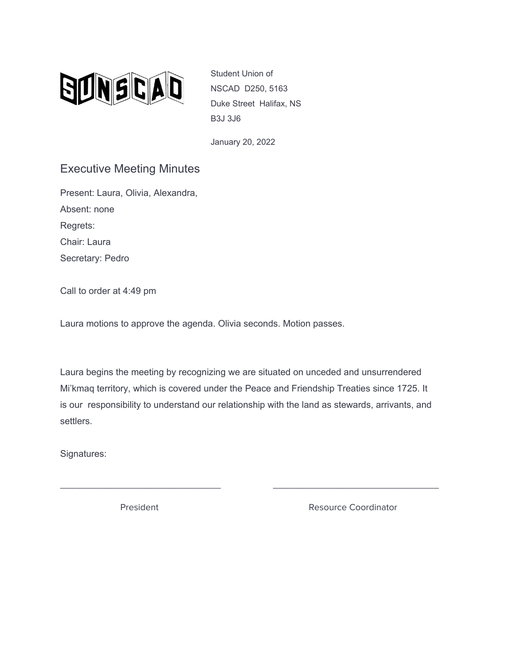

Student Union of NSCAD D250, 5163 Duke Street Halifax, NS B3J 3J6

January 20, 2022

## Executive Meeting Minutes

Present: Laura, Olivia, Alexandra, Absent: none Regrets: Chair: Laura Secretary: Pedro

Call to order at 4:49 pm

Laura motions to approve the agenda. Olivia seconds. Motion passes.

Laura begins the meeting by recognizing we are situated on unceded and unsurrendered Mi'kmaq territory, which is covered under the Peace and Friendship Treaties since 1725. It is our responsibility to understand our relationship with the land as stewards, arrivants, and settlers.

\_\_\_\_\_\_\_\_\_\_\_\_\_\_\_\_\_\_\_\_\_\_\_\_\_\_\_\_\_\_\_ \_\_\_\_\_\_\_\_\_\_\_\_\_\_\_\_\_\_\_\_\_\_\_\_\_\_\_\_\_\_\_\_

Signatures:

President **Resource Coordinator** Resource Coordinator